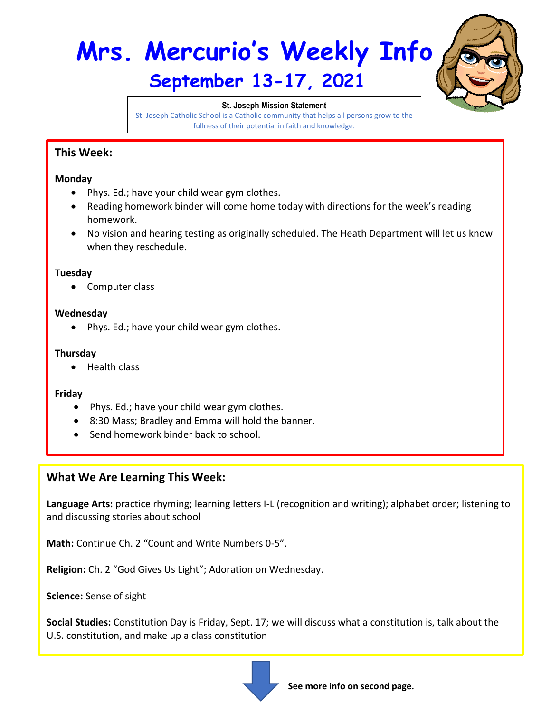# **Mrs. Mercurio's Weekly Info September 13-17, 2021**



#### **St. Joseph Mission Statement**

St. Joseph Catholic School is a Catholic community that helps all persons grow to the fullness of their potential in faith and knowledge.

## **This Week:**

#### **Monday**

- Phys. Ed.; have your child wear gym clothes.
- Reading homework binder will come home today with directions for the week's reading homework.
- No vision and hearing testing as originally scheduled. The Heath Department will let us know when they reschedule.

#### **Tuesday**

• Computer class

#### **Wednesday**

• Phys. Ed.; have your child wear gym clothes.

#### **Thursday**

• Health class

#### **Friday**

- Phys. Ed.; have your child wear gym clothes.
- 8:30 Mass; Bradley and Emma will hold the banner.
- Send homework binder back to school.

### **What We Are Learning This Week:**

**Language Arts:** practice rhyming; learning letters I-L (recognition and writing); alphabet order; listening to and discussing stories about school

**Math:** Continue Ch. 2 "Count and Write Numbers 0-5".

**Religion:** Ch. 2 "God Gives Us Light"; Adoration on Wednesday.

**Science:** Sense of sight

**Social Studies:** Constitution Day is Friday, Sept. 17; we will discuss what a constitution is, talk about the U.S. constitution, and make up a class constitution



**See more info on second page.**